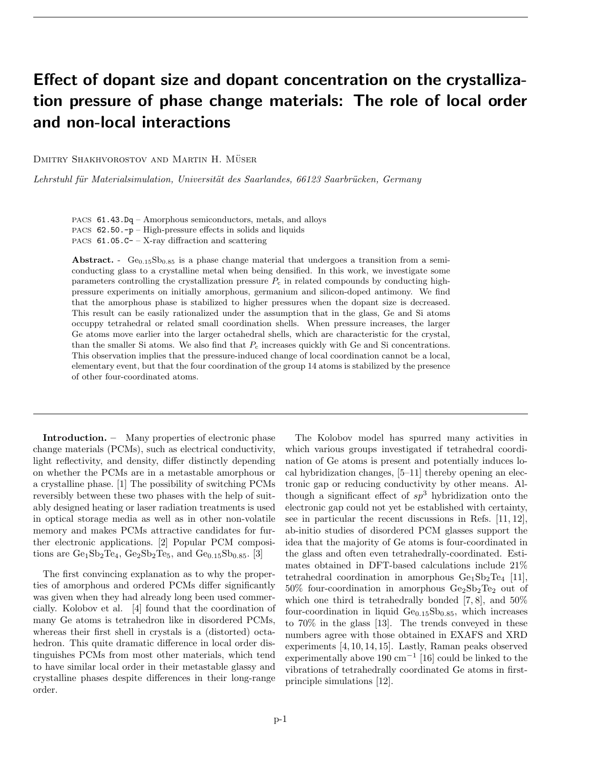## Effect of dopant size and dopant concentration on the crystallization pressure of phase change materials: The role of local order and non-local interactions

DMITRY SHAKHVOROSTOV AND MARTIN H. MÜSER

Lehrstuhl für Materialsimulation, Universität des Saarlandes, 66123 Saarbrücken, Germany

PACS 61.43.Dq – Amorphous semiconductors, metals, and alloys PACS 62.50.-p – High-pressure effects in solids and liquids PACS  $61.05.C - X-ray$  diffraction and scattering

Abstract. -  $Ge_{0.15}Sb_{0.85}$  is a phase change material that undergoes a transition from a semiconducting glass to a crystalline metal when being densified. In this work, we investigate some parameters controlling the crystallization pressure  $P_c$  in related compounds by conducting highpressure experiments on initially amorphous, germanium and silicon-doped antimony. We find that the amorphous phase is stabilized to higher pressures when the dopant size is decreased. This result can be easily rationalized under the assumption that in the glass, Ge and Si atoms occuppy tetrahedral or related small coordination shells. When pressure increases, the larger Ge atoms move earlier into the larger octahedral shells, which are characteristic for the crystal, than the smaller Si atoms. We also find that  $P_c$  increases quickly with Ge and Si concentrations. This observation implies that the pressure-induced change of local coordination cannot be a local, elementary event, but that the four coordination of the group 14 atoms is stabilized by the presence of other four-coordinated atoms.

Introduction. – Many properties of electronic phase change materials (PCMs), such as electrical conductivity, light reflectivity, and density, differ distinctly depending on whether the PCMs are in a metastable amorphous or a crystalline phase. [1] The possibility of switching PCMs reversibly between these two phases with the help of suitably designed heating or laser radiation treatments is used in optical storage media as well as in other non-volatile memory and makes PCMs attractive candidates for further electronic applications. [2] Popular PCM compositions are  $Ge_1Sb_2Te_4$ ,  $Ge_2Sb_2Te_5$ , and  $Ge_{0.15}Sb_{0.85}$ . [3]

The first convincing explanation as to why the properties of amorphous and ordered PCMs differ significantly was given when they had already long been used commercially. Kolobov et al. [4] found that the coordination of many Ge atoms is tetrahedron like in disordered PCMs, whereas their first shell in crystals is a (distorted) octahedron. This quite dramatic difference in local order distinguishes PCMs from most other materials, which tend to have similar local order in their metastable glassy and crystalline phases despite differences in their long-range order.

The Kolobov model has spurred many activities in which various groups investigated if tetrahedral coordination of Ge atoms is present and potentially induces local hybridization changes, [5–11] thereby opening an electronic gap or reducing conductivity by other means. Although a significant effect of  $sp^3$  hybridization onto the electronic gap could not yet be established with certainty, see in particular the recent discussions in Refs. [11, 12], ab-initio studies of disordered PCM glasses support the idea that the majority of Ge atoms is four-coordinated in the glass and often even tetrahedrally-coordinated. Estimates obtained in DFT-based calculations include 21% tetrahedral coordination in amorphous  $Ge<sub>1</sub> Sb<sub>2</sub>Te<sub>4</sub>$  [11],  $50\%$  four-coordination in amorphous  $Ge_2Sb_2Te_2$  out of which one third is tetrahedrally bonded  $(7, 8)$ , and  $50\%$ four-coordination in liquid  $Ge<sub>0.15</sub>Sb<sub>0.85</sub>$ , which increases to 70% in the glass [13]. The trends conveyed in these numbers agree with those obtained in EXAFS and XRD experiments [4, 10, 14, 15]. Lastly, Raman peaks observed experimentally above  $190 \text{ cm}^{-1}$  [16] could be linked to the vibrations of tetrahedrally coordinated Ge atoms in firstprinciple simulations [12].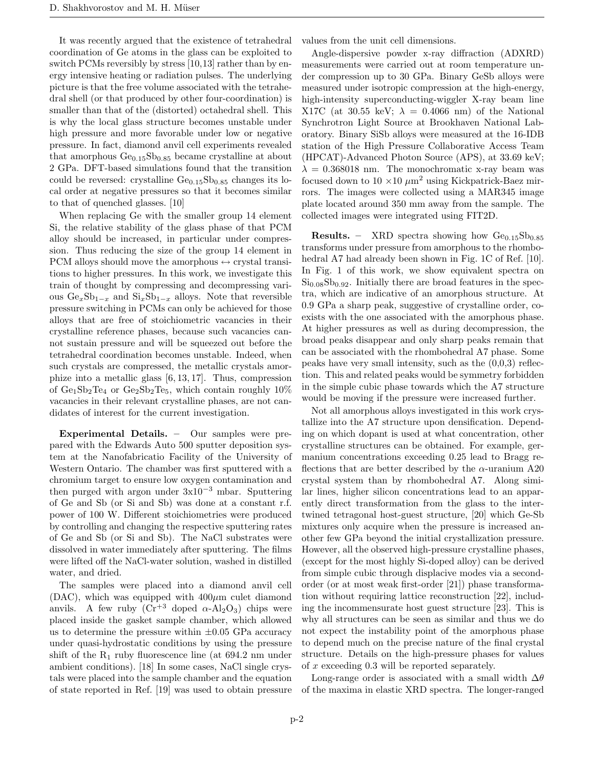It was recently argued that the existence of tetrahedral coordination of Ge atoms in the glass can be exploited to switch PCMs reversibly by stress [10,13] rather than by energy intensive heating or radiation pulses. The underlying picture is that the free volume associated with the tetrahedral shell (or that produced by other four-coordination) is smaller than that of the (distorted) octahedral shell. This is why the local glass structure becomes unstable under high pressure and more favorable under low or negative pressure. In fact, diamond anvil cell experiments revealed that amorphous  $Ge_{0.15}Sb_{0.85}$  became crystalline at about 2 GPa. DFT-based simulations found that the transition could be reversed: crystalline  $Ge<sub>0.15</sub>Sb<sub>0.85</sub>$  changes its local order at negative pressures so that it becomes similar to that of quenched glasses. [10]

When replacing Ge with the smaller group 14 element Si, the relative stability of the glass phase of that PCM alloy should be increased, in particular under compression. Thus reducing the size of the group 14 element in PCM alloys should move the amorphous  $\leftrightarrow$  crystal transitions to higher pressures. In this work, we investigate this train of thought by compressing and decompressing various  $Ge<sub>x</sub>Sb<sub>1-x</sub>$  and  $Si<sub>x</sub>Sb<sub>1-x</sub>$  alloys. Note that reversible pressure switching in PCMs can only be achieved for those alloys that are free of stoichiometric vacancies in their crystalline reference phases, because such vacancies cannot sustain pressure and will be squeezed out before the tetrahedral coordination becomes unstable. Indeed, when such crystals are compressed, the metallic crystals amorphize into a metallic glass [6, 13, 17]. Thus, compression of  $Ge_1Sb_2Te_4$  or  $Ge_2Sb_2Te_5$ , which contain roughly  $10\%$ vacancies in their relevant crystalline phases, are not candidates of interest for the current investigation.

Experimental Details. – Our samples were prepared with the Edwards Auto 500 sputter deposition system at the Nanofabricatio Facility of the University of Western Ontario. The chamber was first sputtered with a chromium target to ensure low oxygen contamination and then purged with argon under  $3x10^{-3}$  mbar. Sputtering of Ge and Sb (or Si and Sb) was done at a constant r.f. power of 100 W. Different stoichiometries were produced by controlling and changing the respective sputtering rates of Ge and Sb (or Si and Sb). The NaCl substrates were dissolved in water immediately after sputtering. The films were lifted off the NaCl-water solution, washed in distilled water, and dried.

The samples were placed into a diamond anvil cell (DAC), which was equipped with  $400 \mu m$  culet diamond anvils. A few ruby  $(Cr^{+3} \text{ doped } \alpha-\text{Al}_2\text{O}_3)$  chips were placed inside the gasket sample chamber, which allowed us to determine the pressure within  $\pm 0.05$  GPa accuracy under quasi-hydrostatic conditions by using the pressure shift of the  $R_1$  ruby fluorescence line (at 694.2 nm under ambient conditions). [18] In some cases, NaCl single crystals were placed into the sample chamber and the equation of state reported in Ref. [19] was used to obtain pressure values from the unit cell dimensions.

Angle-dispersive powder x-ray diffraction (ADXRD) measurements were carried out at room temperature under compression up to 30 GPa. Binary GeSb alloys were measured under isotropic compression at the high-energy, high-intensity superconducting-wiggler X-ray beam line X17C (at 30.55 keV;  $\lambda = 0.4066$  nm) of the National Synchrotron Light Source at Brookhaven National Laboratory. Binary SiSb alloys were measured at the 16-IDB station of the High Pressure Collaborative Access Team (HPCAT)-Advanced Photon Source (APS), at 33.69 keV;  $\lambda = 0.368018$  nm. The monochromatic x-ray beam was focused down to  $10 \times 10 \ \mu m^2$  using Kickpatrick-Baez mirrors. The images were collected using a MAR345 image plate located around 350 mm away from the sample. The collected images were integrated using FIT2D.

**Results.** – XRD spectra showing how  $Ge_{0.15}Sb_{0.85}$ transforms under pressure from amorphous to the rhombohedral A7 had already been shown in Fig. 1C of Ref. [10]. In Fig. 1 of this work, we show equivalent spectra on  $Si<sub>0.08</sub>Sb<sub>0.92</sub>$ . Initially there are broad features in the spectra, which are indicative of an amorphous structure. At 0.9 GPa a sharp peak, suggestive of crystalline order, coexists with the one associated with the amorphous phase. At higher pressures as well as during decompression, the broad peaks disappear and only sharp peaks remain that can be associated with the rhombohedral A7 phase. Some peaks have very small intensity, such as the  $(0,0,3)$  reflection. This and related peaks would be symmetry forbidden in the simple cubic phase towards which the A7 structure would be moving if the pressure were increased further.

Not all amorphous alloys investigated in this work crystallize into the A7 structure upon densification. Depending on which dopant is used at what concentration, other crystalline structures can be obtained. For example, germanium concentrations exceeding 0.25 lead to Bragg reflections that are better described by the  $\alpha$ -uranium A20 crystal system than by rhombohedral A7. Along similar lines, higher silicon concentrations lead to an apparently direct transformation from the glass to the intertwined tetragonal host-guest structure, [20] which Ge-Sb mixtures only acquire when the pressure is increased another few GPa beyond the initial crystallization pressure. However, all the observed high-pressure crystalline phases, (except for the most highly Si-doped alloy) can be derived from simple cubic through displacive modes via a secondorder (or at most weak first-order [21]) phase transformation without requiring lattice reconstruction [22], including the incommensurate host guest structure [23]. This is why all structures can be seen as similar and thus we do not expect the instability point of the amorphous phase to depend much on the precise nature of the final crystal structure. Details on the high-pressure phases for values of x exceeding 0.3 will be reported separately.

Long-range order is associated with a small width  $\Delta\theta$ of the maxima in elastic XRD spectra. The longer-ranged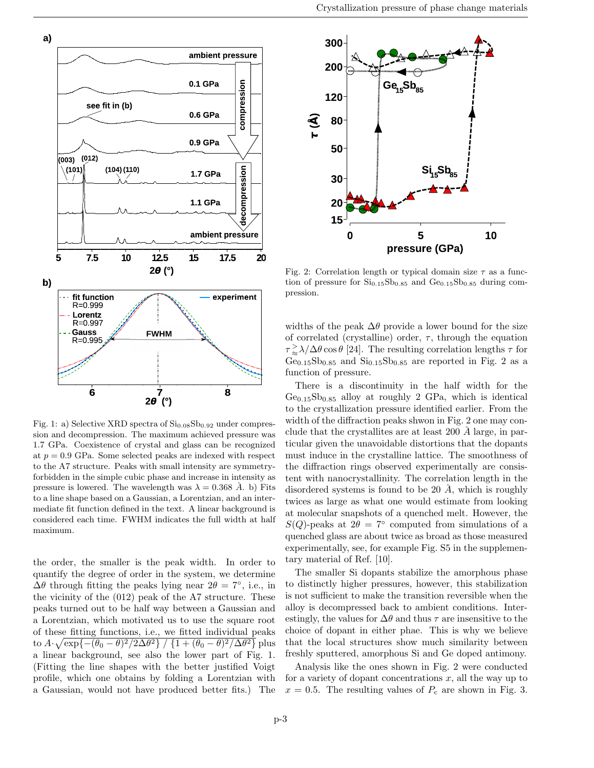

Fig. 1: a) Selective XRD spectra of  $Si<sub>0.08</sub>Sb<sub>0.92</sub>$  under compression and decompression. The maximum achieved pressure was 1.7 GPa. Coexistence of crystal and glass can be recognized at  $p = 0.9$  GPa. Some selected peaks are indexed with respect to the A7 structure. Peaks with small intensity are symmetryforbidden in the simple cubic phase and increase in intensity as pressure is lowered. The wavelength was  $\lambda = 0.368 \text{ Å}$ . b) Fits to a line shape based on a Gaussian, a Lorentzian, and an intermediate fit function defined in the text. A linear background is considered each time. FWHM indicates the full width at half maximum.

the order, the smaller is the peak width. In order to quantify the degree of order in the system, we determine  $\Delta\theta$  through fitting the peaks lying near  $2\theta = 7^{\circ}$ , i.e., in the vicinity of the (012) peak of the A7 structure. These peaks turned out to be half way between a Gaussian and a Lorentzian, which motivated us to use the square root of these fitting functions, i.e., we fitted individual peaks to  $A \cdot \sqrt{\exp\{-(\theta_0 - \theta)^2/2\Delta\theta^2\}} / \{1 + (\theta_0 - \theta)^2/\Delta\theta^2\}$  plus a linear background, see also the lower part of Fig. 1. (Fitting the line shapes with the better justified Voigt profile, which one obtains by folding a Lorentzian with a Gaussian, would not have produced better fits.) The



Fig. 2: Correlation length or typical domain size  $\tau$  as a function of pressure for  $Si<sub>0.15</sub>Sb<sub>0.85</sub>$  and  $Ge<sub>0.15</sub>Sb<sub>0.85</sub>$  during compression.

widths of the peak  $\Delta\theta$  provide a lower bound for the size of correlated (crystalline) order,  $\tau$ , through the equation  $\tau \geq \lambda/\Delta\theta \cos\theta$  [24]. The resulting correlation lengths  $\tau$  for  $Ge_{0.15}Sb_{0.85}$  and  $Si_{0.15}Sb_{0.85}$  are reported in Fig. 2 as a function of pressure.

There is a discontinuity in the half width for the  $Ge_{0.15}Sb_{0.85}$  alloy at roughly 2 GPa, which is identical to the crystallization pressure identified earlier. From the width of the diffraction peaks shwon in Fig. 2 one may conclude that the crystallites are at least 200  $\AA$  large, in particular given the unavoidable distortions that the dopants must induce in the crystalline lattice. The smoothness of the diffraction rings observed experimentally are consistent with nanocrystallinity. The correlation length in the disordered systems is found to be 20  $\AA$ , which is roughly twices as large as what one would estimate from looking at molecular snapshots of a quenched melt. However, the  $S(Q)$ -peaks at  $2\theta = 7^{\circ}$  computed from simulations of a quenched glass are about twice as broad as those measured experimentally, see, for example Fig. S5 in the supplementary material of Ref. [10].

The smaller Si dopants stabilize the amorphous phase to distinctly higher pressures, however, this stabilization is not sufficient to make the transition reversible when the alloy is decompressed back to ambient conditions. Interestingly, the values for  $\Delta\theta$  and thus  $\tau$  are insensitive to the choice of dopant in either phae. This is why we believe that the local structures show much similarity between freshly sputtered, amorphous Si and Ge doped antimony.

Analysis like the ones shown in Fig. 2 were conducted for a variety of dopant concentrations  $x$ , all the way up to  $x = 0.5$ . The resulting values of  $P_c$  are shown in Fig. 3.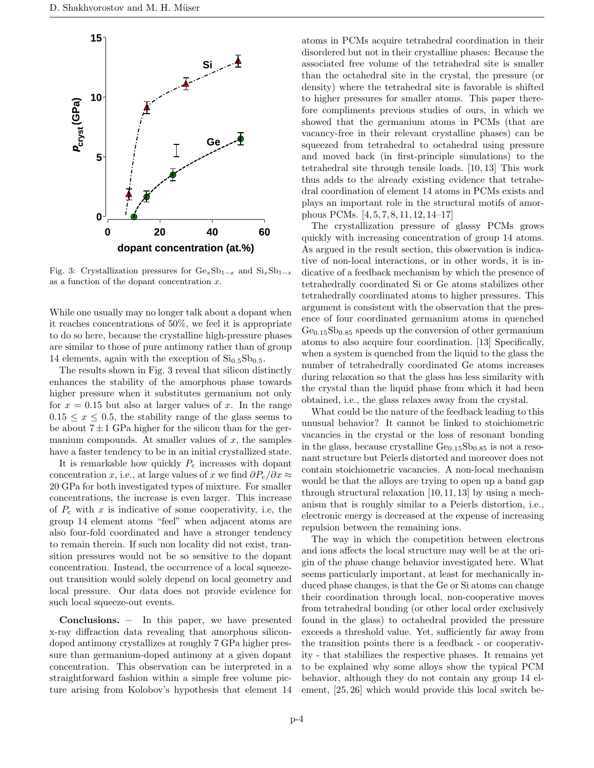

Fig. 3: Crystallization pressures for  $Ge_xSb_{1-x}$  and  $Si_xSb_{1-x}$ as a function of the dopant concentration  $x$ .

While one usually may no longer talk about a dopant when it reaches concentrations of 50%, we feel it is appropriate to do so here, because the crystalline high-pressure phases are similar to those of pure antimony rather than of group 14 elements, again with the exception of  $Si<sub>0.5</sub>Sb<sub>0.5</sub>$ .

The results shown in Fig. 3 reveal that silicon distinctly enhances the stability of the amorphous phase towards higher pressure when it substitutes germanium not only for  $x = 0.15$  but also at larger values of x. In the range  $0.15 \leq x \leq 0.5$ , the stability range of the glass seems to be about  $7 \pm 1$  GPa higher for the silicon than for the germanium compounds. At smaller values of  $x$ , the samples have a faster tendency to be in an initial crystallized state.

It is remarkable how quickly  $P_c$  increases with dopant concentration x, i.e., at large values of x we find  $\partial P_c/\partial x \approx$ 20 GPa for both investigated types of mixture. For smaller concentrations, the increase is even larger. This increase of  $P_c$  with x is indicative of some cooperativity, i.e, the group 14 element atoms "feel" when adjacent atoms are also four-fold coordinated and have a stronger tendency to remain therein. If such non locality did not exist, transition pressures would not be so sensitive to the dopant concentration. Instead, the occurrence of a local squeezeout transition would solely depend on local geometry and local pressure. Our data does not provide evidence for such local squeeze-out events.

Conclusions. – In this paper, we have presented x-ray diffraction data revealing that amorphous silicondoped antimony crystallizes at roughly 7 GPa higher pressure than germanium-doped antimony at a given dopant concentration. This observation can be interpreted in a straightforward fashion within a simple free volume picture arising from Kolobov's hypothesis that element 14

atoms in PCMs acquire tetrahedral coordination in their disordered but not in their crystalline phases: Because the associated free volume of the tetrahedral site is smaller than the octahedral site in the crystal, the pressure (or density) where the tetrahedral site is favorable is shifted to higher pressures for smaller atoms. This paper therefore compliments previous studies of ours, in which we showed that the germanium atoms in PCMs (that are vacancy-free in their relevant crystalline phases) can be squeezed from tetrahedral to octahedral using pressure and moved back (in first-principle simulations) to the tetrahedral site through tensile loads. [10, 13] This work thus adds to the already existing evidence that tetrahedral coordination of element 14 atoms in PCMs exists and plays an important role in the structural motifs of amorphous PCMs. [4, 5, 7, 8, 11, 12, 14–17]

The crystallization pressure of glassy PCMs grows quickly with increasing concentration of group 14 atoms. As argued in the result section, this observation is indicative of non-local interactions, or in other words, it is indicative of a feedback mechanism by which the presence of tetrahedrally coordinated Si or Ge atoms stabilizes other tetrahedrally coordinated atoms to higher pressures. This argument is consistent with the observation that the presence of four coordinated germanium atoms in quenched  $Ge<sub>0.15</sub>Sb<sub>0.85</sub>$  speeds up the conversion of other germanium atoms to also acquire four coordination. [13] Specifically, when a system is quenched from the liquid to the glass the number of tetrahedrally coordinated Ge atoms increases during relaxation so that the glass has less similarity with the crystal than the liquid phase from which it had been obtained, i.e., the glass relaxes away from the crystal.

What could be the nature of the feedback leading to this unusual behavior? It cannot be linked to stoichiometric vacancies in the crystal or the loss of resonant bonding in the glass, because crystalline  $Ge<sub>0.15</sub>Sb<sub>0.85</sub>$  is not a resonant structure but Peierls distorted and moreover does not contain stoichiometric vacancies. A non-local mechanism would be that the alloys are trying to open up a band gap through structural relaxation [10,11,13] by using a mechanism that is roughly similar to a Peierls distortion, i.e., electronic energy is decreased at the expense of increasing repulsion between the remaining ions.

The way in which the competition between electrons and ions affects the local structure may well be at the origin of the phase change behavior investigated here. What seems particularly important, at least for mechanically induced phase changes, is that the Ge or Si atoms can change their coordination through local, non-cooperative moves from tetrahedral bonding (or other local order exclusively found in the glass) to octahedral provided the pressure exceeds a threshold value. Yet, sufficiently far away from the transition points there is a feedback - or cooperativity - that stabilizes the respective phases. It remains yet to be explained why some alloys show the typical PCM behavior, although they do not contain any group 14 element, [25, 26] which would provide this local switch be